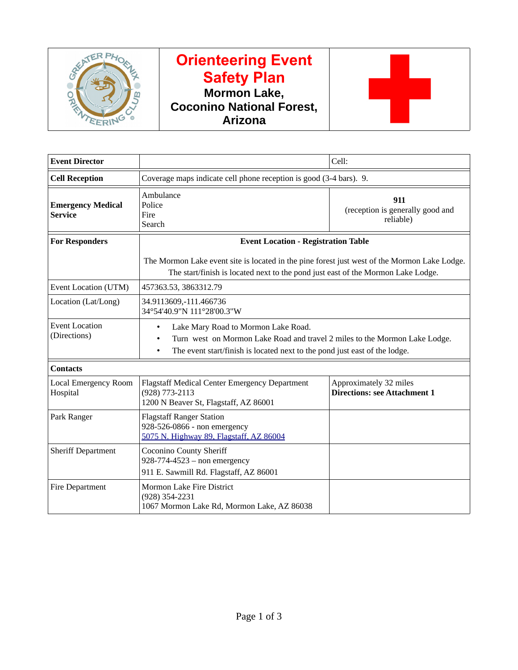

# **Orienteering Event Safety Plan Mormon Lake, Coconino National Forest, Arizona**



| <b>Event Director</b>                      |                                                                                                                                                                                                                   | Cell:                                                         |  |  |  |
|--------------------------------------------|-------------------------------------------------------------------------------------------------------------------------------------------------------------------------------------------------------------------|---------------------------------------------------------------|--|--|--|
| <b>Cell Reception</b>                      | Coverage maps indicate cell phone reception is good (3-4 bars). 9.                                                                                                                                                |                                                               |  |  |  |
| <b>Emergency Medical</b><br><b>Service</b> | Ambulance<br>Police<br>Fire<br>Search                                                                                                                                                                             | 911<br>(reception is generally good and<br>reliable)          |  |  |  |
| <b>For Responders</b>                      | <b>Event Location - Registration Table</b>                                                                                                                                                                        |                                                               |  |  |  |
|                                            | The Mormon Lake event site is located in the pine forest just west of the Mormon Lake Lodge.<br>The start/finish is located next to the pond just east of the Mormon Lake Lodge.                                  |                                                               |  |  |  |
| Event Location (UTM)                       | 457363.53, 3863312.79                                                                                                                                                                                             |                                                               |  |  |  |
| Location (Lat/Long)                        | 34.9113609,-111.466736<br>34°54'40.9"N 111°28'00.3"W                                                                                                                                                              |                                                               |  |  |  |
| <b>Event Location</b><br>(Directions)      | Lake Mary Road to Mormon Lake Road.<br>٠<br>Turn west on Mormon Lake Road and travel 2 miles to the Mormon Lake Lodge.<br>The event start/finish is located next to the pond just east of the lodge.<br>$\bullet$ |                                                               |  |  |  |
| <b>Contacts</b>                            |                                                                                                                                                                                                                   |                                                               |  |  |  |
| <b>Local Emergency Room</b><br>Hospital    | Flagstaff Medical Center Emergency Department<br>(928) 773-2113<br>1200 N Beaver St, Flagstaff, AZ 86001                                                                                                          | Approximately 32 miles<br><b>Directions: see Attachment 1</b> |  |  |  |
| Park Ranger                                | <b>Flagstaff Ranger Station</b><br>928-526-0866 - non emergency<br>5075 N. Highway 89, Flagstaff, AZ 86004                                                                                                        |                                                               |  |  |  |
| <b>Sheriff Department</b>                  | <b>Coconino County Sheriff</b><br>928-774-4523 - non emergency<br>911 E. Sawmill Rd. Flagstaff, AZ 86001                                                                                                          |                                                               |  |  |  |
| Fire Department                            | Mormon Lake Fire District<br>(928) 354-2231<br>1067 Mormon Lake Rd, Mormon Lake, AZ 86038                                                                                                                         |                                                               |  |  |  |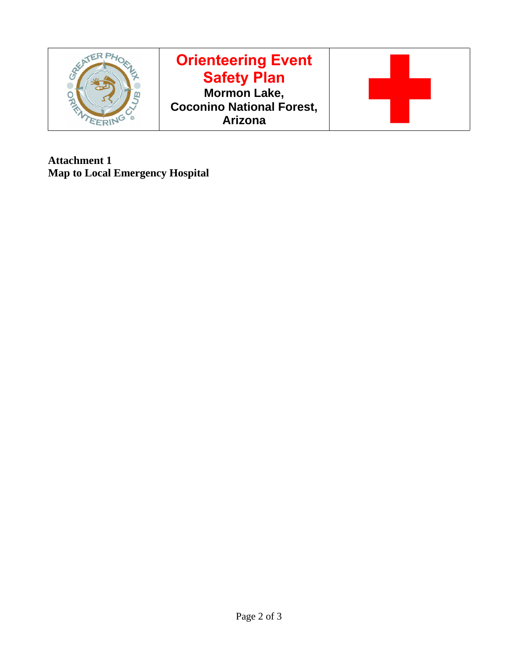

**Attachment 1 Map to Local Emergency Hospital**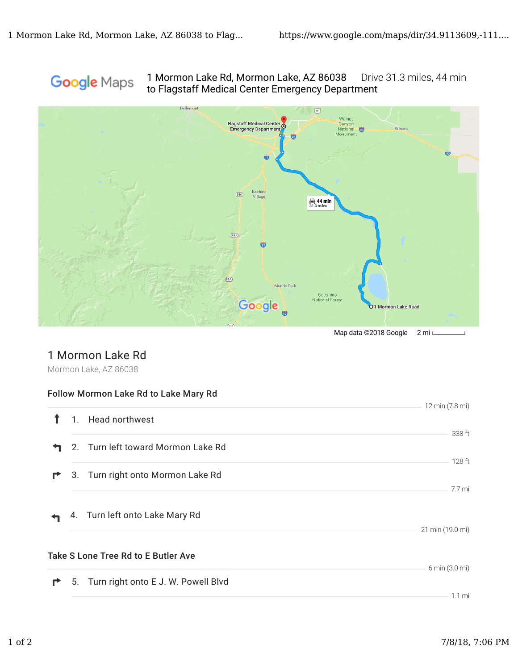#### 1 Mormon Lake Rd, Mormon Lake, AZ 86038 Drive 31.3 miles, 44 min Google Maps to Flagstaff Medical Center Emergency Department



Map data ©2018 Google 2 mi L

### 1 Mormon Lake Rd

Mormon Lake, AZ 86038

#### Follow Mormon Lake Rd to Lake Mary Rd

|   |                                            | 12 min (7.8 mi)  |
|---|--------------------------------------------|------------------|
|   | 1. Head northwest                          |                  |
|   |                                            | 338 ft           |
| ∼ | 2. Turn left toward Mormon Lake Rd         |                  |
|   |                                            | $128$ ft         |
| r | 3. Turn right onto Mormon Lake Rd          |                  |
|   |                                            | 7.7 mi           |
|   |                                            |                  |
|   | 4. Turn left onto Lake Mary Rd             |                  |
|   |                                            | 21 min (19.0 mi) |
|   |                                            |                  |
|   | <b>Take S Lone Tree Rd to E Butler Ave</b> |                  |
|   |                                            | 6 min (3.0 mi)   |
| r | 5. Turn right onto E J. W. Powell Blvd     |                  |
|   |                                            | $1.1 \text{ mi}$ |
|   |                                            |                  |

L.